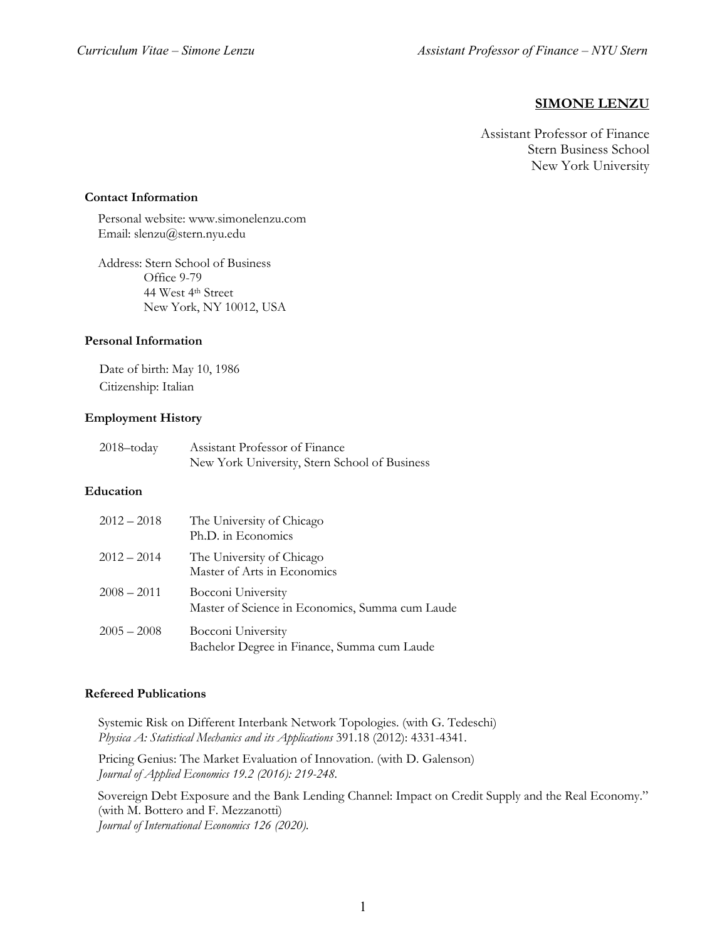## **SIMONE LENZU**

Assistant Professor of Finance Stern Business School New York University

#### **Contact Information**

Personal website: www.simonelenzu.com Email: slenzu@stern.nyu.edu

Address: Stern School of Business Office 9-79 44 West 4th Street New York, NY 10012, USA

#### **Personal Information**

Date of birth: May 10, 1986 Citizenship: Italian

# **Employment History**

| $2018 -$ today | Assistant Professor of Finance                |
|----------------|-----------------------------------------------|
|                | New York University, Stern School of Business |

#### **Education**

| $2012 - 2018$ | The University of Chicago<br>Ph.D. in Economics                       |
|---------------|-----------------------------------------------------------------------|
| $2012 - 2014$ | The University of Chicago<br>Master of Arts in Economics              |
| $2008 - 2011$ | Bocconi University<br>Master of Science in Economics, Summa cum Laude |
| $2005 - 2008$ | Bocconi University<br>Bachelor Degree in Finance, Summa cum Laude     |

## **Refereed Publications**

Systemic Risk on Different Interbank Network Topologies. (with G. Tedeschi) *Physica A: Statistical Mechanics and its Applications* 391.18 (2012): 4331-4341.

Pricing Genius: The Market Evaluation of Innovation. (with D. Galenson) *Journal of Applied Economics 19.2 (2016): 219-248.*

Sovereign Debt Exposure and the Bank Lending Channel: Impact on Credit Supply and the Real Economy." (with M. Bottero and F. Mezzanotti) *Journal of International Economics 126 (2020).*